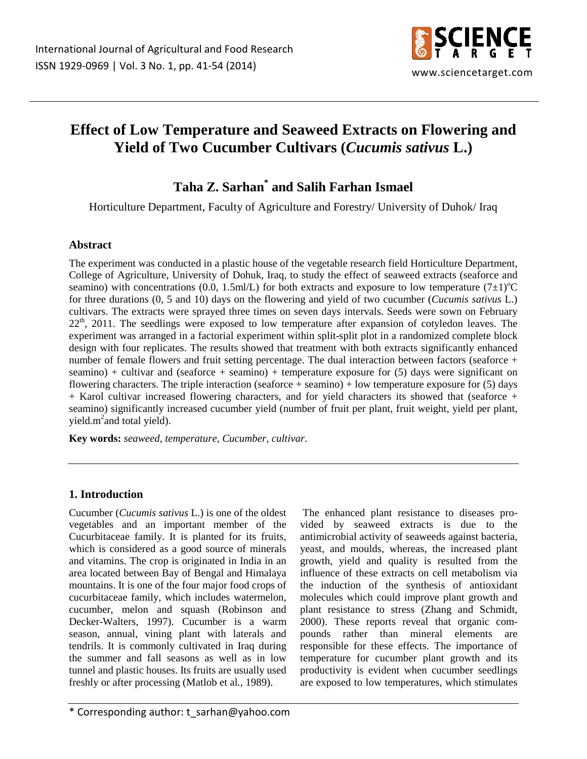

# **Effect of Low Temperature and Seaweed Extracts on Flowering and Yield of Two Cucumber Cultivars (***Cucumis sativus* **L.)**

# **Taha Z. Sarhan\* and Salih Farhan Ismael**

Horticulture Department, Faculty of Agriculture and Forestry/ University of Duhok/ Iraq

## **Abstract**

The experiment was conducted in a plastic house of the vegetable research field Horticulture Department, College of Agriculture, University of Dohuk, Iraq, to study the effect of seaweed extracts (seaforce and seamino) with concentrations (0.0, 1.5ml/L) for both extracts and exposure to low temperature (7 $\pm$ 1)<sup>o</sup>C for three durations (0, 5 and 10) days on the flowering and yield of two cucumber (*Cucumis sativus* L.) cultivars. The extracts were sprayed three times on seven days intervals. Seeds were sown on February  $22<sup>th</sup>$ , 2011. The seedlings were exposed to low temperature after expansion of cotyledon leaves. The experiment was arranged in a factorial experiment within split-split plot in a randomized complete block design with four replicates. The results showed that treatment with both extracts significantly enhanced number of female flowers and fruit setting percentage. The dual interaction between factors (seaforce + seamino) + cultivar and (seaforce + seamino) + temperature exposure for  $(5)$  days were significant on flowering characters. The triple interaction (seaforce  $+$  seamino)  $+$  low temperature exposure for (5) days + Karol cultivar increased flowering characters, and for yield characters its showed that (seaforce + seamino) significantly increased cucumber yield (number of fruit per plant, fruit weight, yield per plant, yield.m<sup>2</sup> and total yield).

**Key words:** *seaweed, temperature, Cucumber*, *cultivar*.

## **1. Introduction**

Cucumber (*Cucumis sativus* L.) is one of the oldest vegetables and an important member of the Cucurbitaceae family. It is planted for its fruits, which is considered as a good source of minerals and vitamins. The crop is originated in India in an area located between Bay of Bengal and Himalaya mountains. It is one of the four major food crops of cucurbitaceae family, which includes watermelon, cucumber, melon and squash (Robinson and Decker-Walters, 1997). Cucumber is a warm season, annual, vining plant with laterals and tendrils. It is commonly cultivated in Iraq during the summer and fall seasons as well as in low tunnel and plastic houses. Its fruits are usually used freshly or after processing (Matlob et al*.*, 1989).

 The enhanced plant resistance to diseases provided by seaweed extracts is due to the antimicrobial activity of seaweeds against bacteria, yeast, and moulds, whereas, the increased plant growth, yield and quality is resulted from the influence of these extracts on cell metabolism via the induction of the synthesis of antioxidant molecules which could improve plant growth and plant resistance to stress (Zhang and Schmidt, 2000). These reports reveal that organic compounds rather than mineral elements are responsible for these effects. The importance of temperature for cucumber plant growth and its productivity is evident when cucumber seedlings are exposed to low temperatures, which stimulates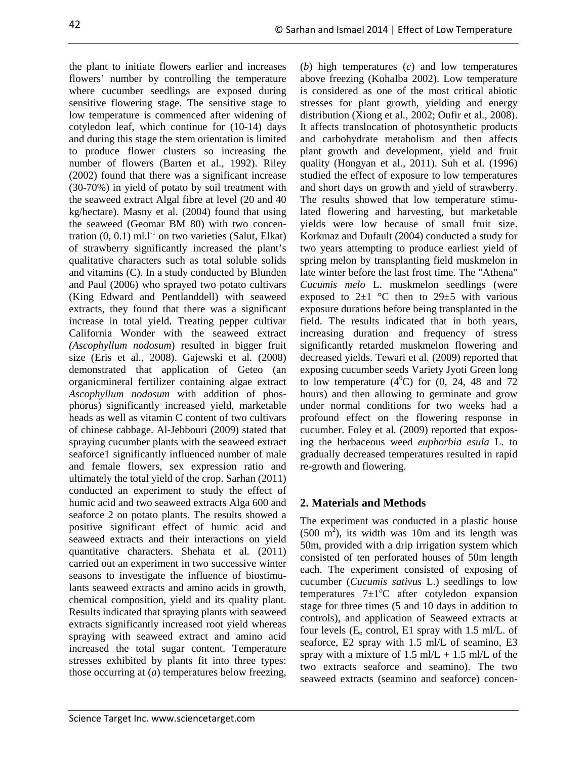the plant to initiate flowers earlier and increases flowers' number by controlling the temperature where cucumber seedlings are exposed during sensitive flowering stage. The sensitive stage to low temperature is commenced after widening of cotyledon leaf, which continue for (10-14) days and during this stage the stem orientation is limited to produce flower clusters so increasing the number of flowers (Barten et al*.*, 1992). Riley (2002) found that there was a significant increase (30-70%) in yield of potato by soil treatment with the seaweed extract Algal fibre at level (20 and 40 kg/hectare). Masny et al. (2004) found that using the seaweed (Geomar BM 80) with two concentration  $(0, 0.1)$  ml.l<sup>-1</sup> on two varieties (Salut, Elkat) of strawberry significantly increased the plant's qualitative characters such as total soluble solids and vitamins (C). In a study conducted by Blunden and Paul (2006) who sprayed two potato cultivars (King Edward and Pentlanddell) with seaweed extracts, they found that there was a significant increase in total yield. Treating pepper cultivar California Wonder with the seaweed extract *(Ascophyllum nodosum*) resulted in bigger fruit size (Eris et al*.*, 2008). Gajewski et al*.* (2008) demonstrated that application of Geteo (an organicmineral fertilizer containing algae extract *Ascophyllum nodosum* with addition of phosphorus) significantly increased yield, marketable heads as well as vitamin C content of two cultivars of chinese cabbage. Al-Jebbouri (2009) stated that spraying cucumber plants with the seaweed extract seaforce1 significantly influenced number of male and female flowers, sex expression ratio and ultimately the total yield of the crop. Sarhan (2011) conducted an experiment to study the effect of humic acid and two seaweed extracts Alga 600 and seaforce 2 on potato plants. The results showed a positive significant effect of humic acid and seaweed extracts and their interactions on yield quantitative characters. Shehata et al*.* (2011) carried out an experiment in two successive winter seasons to investigate the influence of biostimulants seaweed extracts and amino acids in growth, chemical composition, yield and its quality plant. Results indicated that spraying plants with seaweed extracts significantly increased root yield whereas spraying with seaweed extract and amino acid increased the total sugar content. Temperature stresses exhibited by plants fit into three types: those occurring at (*a*) temperatures below freezing,

(*b*) high temperatures (*c*) and low temperatures above freezing (KohaIba 2002). Low temperature is considered as one of the most critical abiotic stresses for plant growth, yielding and energy distribution (Xiong et al*.*, 2002; Oufir et al*.*, 2008). It affects translocation of photosynthetic products and carbohydrate metabolism and then affects plant growth and development, yield and fruit quality (Hongyan et al*.,* 2011). Suh et al*.* (1996) studied the effect of exposure to low temperatures and short days on growth and yield of strawberry. The results showed that low temperature stimulated flowering and harvesting, but marketable yields were low because of small fruit size. Korkmaz and Dufault (2004) conducted a study for two years attempting to produce earliest yield of spring melon by transplanting field muskmelon in late winter before the last frost time. The "Athena" *Cucumis melo* L. muskmelon seedlings (were exposed to  $2\pm 1$  °C then to  $29\pm 5$  with various exposure durations before being transplanted in the field. The results indicated that in both years, increasing duration and frequency of stress significantly retarded muskmelon flowering and decreased yields. Tewari et al*.* (2009) reported that exposing cucumber seeds Variety Jyoti Green long to low temperature  $(4^0C)$  for  $(0, 24, 48, 48)$  and  $72$ hours) and then allowing to germinate and grow under normal conditions for two weeks had a profound effect on the flowering response in cucumber. Foley et al*.* (2009) reported that exposing the herbaceous weed *euphorbia esula* L. to gradually decreased temperatures resulted in rapid re-growth and flowering.

# **2. Materials and Methods**

The experiment was conducted in a plastic house  $(500 \text{ m}^2)$ , its width was 10m and its length was 50m, provided with a drip irrigation system which consisted of ten perforated houses of 50m length each. The experiment consisted of exposing of cucumber (*Cucumis sativus* L.) seedlings to low temperatures  $7\pm1\textdegree C$  after cotyledon expansion stage for three times (5 and 10 days in addition to controls), and application of Seaweed extracts at four levels  $(E_0 \text{ control}, E1 \text{ spray with } 1.5 \text{ ml/L. of }$ seaforce, E2 spray with 1.5 ml/L of seamino, E3 spray with a mixture of  $1.5$  ml/L +  $1.5$  ml/L of the two extracts seaforce and seamino). The two seaweed extracts (seamino and seaforce) concen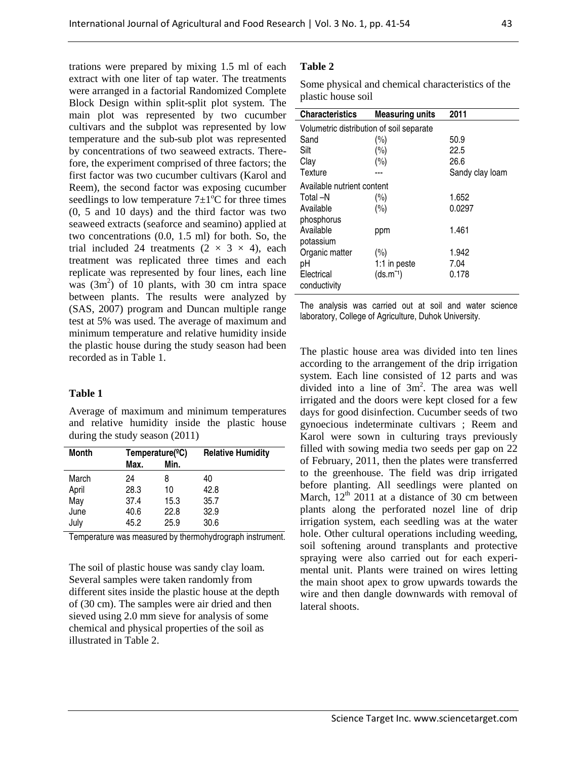trations were prepared by mixing 1.5 ml of each extract with one liter of tap water. The treatments were arranged in a factorial Randomized Complete Block Design within split-split plot system. The main plot was represented by two cucumber cultivars and the subplot was represented by low temperature and the sub-sub plot was represented by concentrations of two seaweed extracts. Therefore, the experiment comprised of three factors; the first factor was two cucumber cultivars (Karol and Reem), the second factor was exposing cucumber seedlings to low temperature  $7\pm1\textdegree C$  for three times (0, 5 and 10 days) and the third factor was two seaweed extracts (seaforce and seamino) applied at two concentrations (0.0, 1.5 ml) for both. So, the trial included 24 treatments  $(2 \times 3 \times 4)$ , each treatment was replicated three times and each replicate was represented by four lines, each line was  $(3m^2)$  of 10 plants, with 30 cm intra space between plants. The results were analyzed by (SAS, 2007) program and Duncan multiple range test at 5% was used. The average of maximum and minimum temperature and relative humidity inside the plastic house during the study season had been

### **Table 1**

recorded as in Table 1.

Average of maximum and minimum temperatures and relative humidity inside the plastic house during the study season (2011)

| <b>Month</b> | Temperature( <sup>o</sup> C) |      | <b>Relative Humidity</b> |
|--------------|------------------------------|------|--------------------------|
|              | Max.                         | Min. |                          |
| March        | 24                           | 8    | 40                       |
| April        | 28.3                         | 10   | 42.8                     |
| May          | 37.4                         | 15.3 | 35.7                     |
| June         | 40.6                         | 22.8 | 32.9                     |
| July         | 45.2                         | 25.9 | 30.6                     |

Temperature was measured by thermohydrograph instrument.

The soil of plastic house was sandy clay loam. Several samples were taken randomly from different sites inside the plastic house at the depth of (30 cm). The samples were air dried and then sieved using 2.0 mm sieve for analysis of some chemical and physical properties of the soil as illustrated in Table 2.

#### **Table 2**

Some physical and chemical characteristics of the plastic house soil

| <b>Characteristics</b>                   | <b>Measuring units</b> | 2011            |  |  |  |  |  |
|------------------------------------------|------------------------|-----------------|--|--|--|--|--|
| Volumetric distribution of soil separate |                        |                 |  |  |  |  |  |
| Sand                                     | (%)                    | 50.9            |  |  |  |  |  |
| Silt                                     | $(\%)$                 | 22.5            |  |  |  |  |  |
| Clay                                     | $(\%)$                 | 26.6            |  |  |  |  |  |
| Texture                                  |                        | Sandy clay loam |  |  |  |  |  |
| Available nutrient content               |                        |                 |  |  |  |  |  |
| Total –N                                 | $(\%)$                 | 1.652           |  |  |  |  |  |
| Available                                | (%)                    | 0.0297          |  |  |  |  |  |
| phosphorus                               |                        |                 |  |  |  |  |  |
| Available                                | ppm                    | 1.461           |  |  |  |  |  |
| potassium                                |                        |                 |  |  |  |  |  |
| Organic matter                           | $(\%)$                 | 1.942           |  |  |  |  |  |
| рH                                       | 1:1 in peste           | 7.04            |  |  |  |  |  |
| Electrical                               | $(ds.m^{-1})$          | 0.178           |  |  |  |  |  |
| conductivity                             |                        |                 |  |  |  |  |  |

The analysis was carried out at soil and water science laboratory, College of Agriculture, Duhok University.

The plastic house area was divided into ten lines according to the arrangement of the drip irrigation system. Each line consisted of 12 parts and was divided into a line of  $3m^2$ . The area was well irrigated and the doors were kept closed for a few days for good disinfection. Cucumber seeds of two gynoecious indeterminate cultivars ; Reem and Karol were sown in culturing trays previously filled with sowing media two seeds per gap on 22 of February, 2011, then the plates were transferred to the greenhouse. The field was drip irrigated before planting. All seedlings were planted on March,  $12<sup>th</sup>$  2011 at a distance of 30 cm between plants along the perforated nozel line of drip irrigation system, each seedling was at the water hole. Other cultural operations including weeding, soil softening around transplants and protective spraying were also carried out for each experimental unit. Plants were trained on wires letting the main shoot apex to grow upwards towards the wire and then dangle downwards with removal of lateral shoots.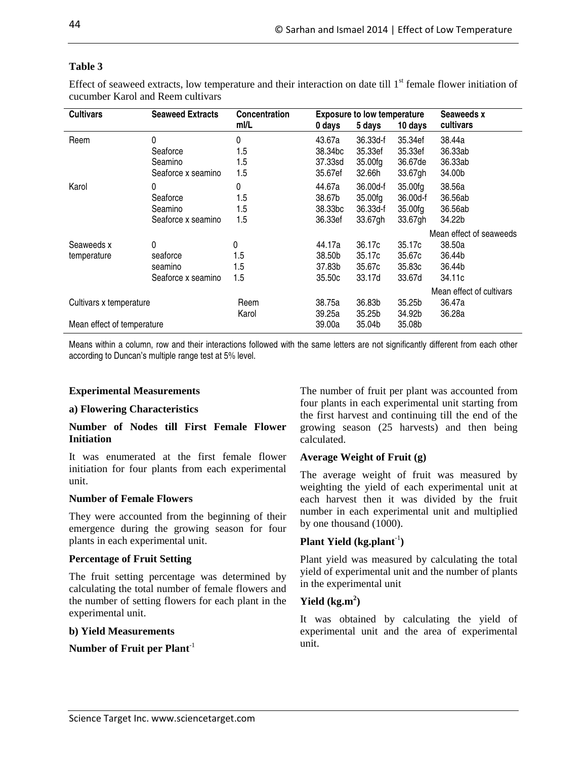Effect of seaweed extracts, low temperature and their interaction on date till  $1<sup>st</sup>$  female flower initiation of cucumber Karol and Reem cultivars

| <b>Cultivars</b>           | <b>Seaweed Extracts</b> | <b>Concentration</b><br><b>Exposure to low temperature</b> |                     |          | Seaweeds x |                          |
|----------------------------|-------------------------|------------------------------------------------------------|---------------------|----------|------------|--------------------------|
|                            |                         | ml/L                                                       | 0 days              | 5 days   | 10 days    | cultivars                |
| Reem                       | 0                       | 0                                                          | 43.67a              | 36.33d-f | 35.34ef    | 38.44a                   |
|                            | Seaforce                | 1.5                                                        | 38.34 <sub>bc</sub> | 35.33ef  | 35.33ef    | 36.33ab                  |
|                            | Seamino                 | 1.5                                                        | 37.33sd             | 35.00fg  | 36.67de    | 36.33ab                  |
|                            | Seaforce x seamino      | 1.5                                                        | 35.67ef             | 32.66h   | 33.67gh    | 34.00b                   |
| Karol                      | 0                       | 0                                                          | 44.67a              | 36.00d-f | 35.00fg    | 38.56a                   |
|                            | Seaforce                | 1.5                                                        | 38.67b              | 35.00fg  | 36.00d-f   | 36.56ab                  |
|                            | Seamino                 | 1.5                                                        | 38.33 <sub>bc</sub> | 36.33d-f | 35.00fg    | 36.56ab                  |
|                            | Seaforce x seamino      | 1.5                                                        | 36.33ef             | 33.67gh  | 33.67gh    | 34.22b                   |
|                            |                         |                                                            |                     |          |            | Mean effect of seaweeds  |
| Seaweeds x                 | 0                       | 0                                                          | 44.17a              | 36.17c   | 35.17c     | 38.50a                   |
| temperature                | seaforce                | 1.5                                                        | 38.50b              | 35.17c   | 35.67c     | 36.44b                   |
|                            | seamino                 | 1.5                                                        | 37.83b              | 35.67c   | 35.83c     | 36.44b                   |
|                            | Seaforce x seamino      | 1.5                                                        | 35.50c              | 33.17d   | 33.67d     | 34.11c                   |
|                            |                         |                                                            |                     |          |            | Mean effect of cultivars |
| Cultivars x temperature    |                         | Reem                                                       | 38.75a              | 36.83b   | 35.25b     | 36.47a                   |
|                            |                         | Karol                                                      | 39.25a              | 35.25b   | 34.92b     | 36.28a                   |
| Mean effect of temperature |                         |                                                            | 39.00a              | 35.04b   | 35.08b     |                          |

Means within a column, row and their interactions followed with the same letters are not significantly different from each other according to Duncan's multiple range test at 5% level.

## **Experimental Measurements**

#### **a) Flowering Characteristics**

#### **Number of Nodes till First Female Flower Initiation**

It was enumerated at the first female flower initiation for four plants from each experimental unit.

### **Number of Female Flowers**

They were accounted from the beginning of their emergence during the growing season for four plants in each experimental unit.

### **Percentage of Fruit Setting**

The fruit setting percentage was determined by calculating the total number of female flowers and the number of setting flowers for each plant in the experimental unit.

#### **b) Yield Measurements**

## **Number of Fruit per Plant**-1

The number of fruit per plant was accounted from four plants in each experimental unit starting from the first harvest and continuing till the end of the growing season (25 harvests) and then being calculated.

### **Average Weight of Fruit (g)**

The average weight of fruit was measured by weighting the yield of each experimental unit at each harvest then it was divided by the fruit number in each experimental unit and multiplied by one thousand (1000).

### **Plant Yield (kg.plant**-1**)**

Plant yield was measured by calculating the total yield of experimental unit and the number of plants in the experimental unit

## **Yield (kg.m<sup>2</sup> )**

It was obtained by calculating the yield of experimental unit and the area of experimental unit.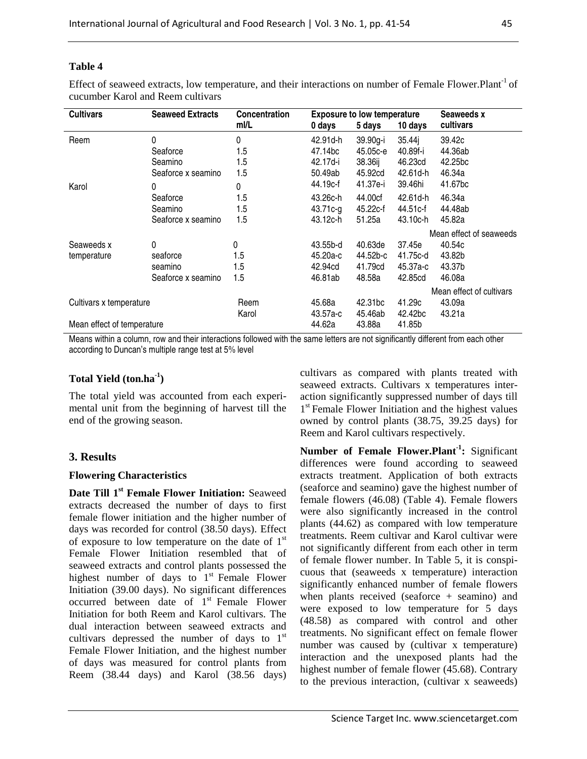Effect of seaweed extracts, low temperature, and their interactions on number of Female Flower.Plant<sup>-1</sup> of cucumber Karol and Reem cultivars

| <b>Cultivars</b><br><b>Seaweed Extracts</b> |                    | <b>Concentration</b> |          | <b>Exposure to low temperature</b> | Seaweeds x          |                          |
|---------------------------------------------|--------------------|----------------------|----------|------------------------------------|---------------------|--------------------------|
|                                             |                    | ml/L                 | 0 days   | 5 days                             | 10 days             | cultivars                |
| Reem                                        | 0                  | 0                    | 42.91d-h | 39.90g-i                           | 35.44j              | 39.42c                   |
|                                             | Seaforce           | 1.5                  | 47.14bc  | 45.05c-e                           | 40.89f-i            | 44.36ab                  |
|                                             | Seamino            | 1.5                  | 42.17d-i | 38.36ij                            | 46.23cd             | 42.25bc                  |
|                                             | Seaforce x seamino | 1.5                  | 50.49ab  | 45.92cd                            | 42.61d-h            | 46.34a                   |
| Karol                                       | 0                  | 0                    | 44.19c-f | 41.37e-i                           | 39.46hi             | 41.67bc                  |
|                                             | Seaforce           | 1.5                  | 43.26c-h | 44.00cf                            | 42.61d-h            | 46.34a                   |
|                                             | Seamino            | 1.5                  | 43.71c-g | 45.22c-f                           | 44.51c-f            | 44.48ab                  |
|                                             | Seaforce x seamino | 1.5                  | 43.12c-h | 51.25a                             | 43.10c-h            | 45.82a                   |
|                                             |                    |                      |          |                                    |                     | Mean effect of seaweeds  |
| Seaweeds x                                  | 0                  | 0                    | 43.55b-d | 40.63de                            | 37.45e              | 40.54c                   |
| temperature                                 | seaforce           | 1.5                  | 45.20a-c | 44.52b-c                           | 41.75c-d            | 43.82b                   |
|                                             | seamino            | 1.5                  | 42.94cd  | 41.79cd                            | 45.37a-c            | 43.37b                   |
|                                             | Seaforce x seamino | 1.5                  | 46.81ab  | 48.58a                             | 42.85cd             | 46.08a                   |
|                                             |                    |                      |          |                                    |                     | Mean effect of cultivars |
| Cultivars x temperature                     |                    | Reem                 | 45.68a   | 42.31 <sub>bc</sub>                | 41.29c              | 43.09a                   |
|                                             |                    | Karol                | 43.57a-c | 45.46ab                            | 42.42 <sub>bc</sub> | 43.21a                   |
| Mean effect of temperature                  |                    |                      | 44.62a   | 43.88a                             | 41.85b              |                          |

Means within a column, row and their interactions followed with the same letters are not significantly different from each other according to Duncan's multiple range test at 5% level

## **Total Yield (ton.ha-1)**

The total yield was accounted from each experimental unit from the beginning of harvest till the end of the growing season.

### **3. Results**

### **Flowering Characteristics**

**Date Till 1st Female Flower Initiation:** Seaweed extracts decreased the number of days to first female flower initiation and the higher number of days was recorded for control (38.50 days). Effect of exposure to low temperature on the date of  $1<sup>st</sup>$ Female Flower Initiation resembled that of seaweed extracts and control plants possessed the highest number of days to  $1<sup>st</sup>$  Female Flower Initiation (39.00 days). No significant differences occurred between date of 1<sup>st</sup> Female Flower Initiation for both Reem and Karol cultivars. The dual interaction between seaweed extracts and cultivars depressed the number of days to  $1<sup>st</sup>$ Female Flower Initiation, and the highest number of days was measured for control plants from Reem (38.44 days) and Karol (38.56 days)

cultivars as compared with plants treated with seaweed extracts. Cultivars x temperatures interaction significantly suppressed number of days till 1<sup>st</sup> Female Flower Initiation and the highest values owned by control plants (38.75, 39.25 days) for Reem and Karol cultivars respectively.

**Number of Female Flower.Plant-1:** Significant differences were found according to seaweed extracts treatment. Application of both extracts (seaforce and seamino) gave the highest number of female flowers (46.08) (Table 4). Female flowers were also significantly increased in the control plants (44.62) as compared with low temperature treatments. Reem cultivar and Karol cultivar were not significantly different from each other in term of female flower number. In Table 5, it is conspicuous that (seaweeds x temperature) interaction significantly enhanced number of female flowers when plants received (seaforce + seamino) and were exposed to low temperature for 5 days (48.58) as compared with control and other treatments. No significant effect on female flower number was caused by (cultivar x temperature) interaction and the unexposed plants had the highest number of female flower (45.68). Contrary to the previous interaction, (cultivar x seaweeds)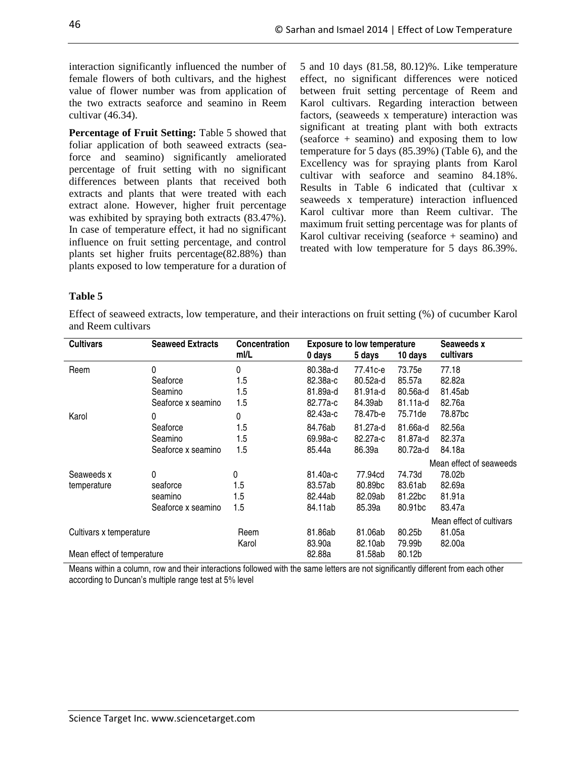interaction significantly influenced the number of female flowers of both cultivars, and the highest value of flower number was from application of the two extracts seaforce and seamino in Reem cultivar (46.34).

**Percentage of Fruit Setting:** Table 5 showed that foliar application of both seaweed extracts (seaforce and seamino) significantly ameliorated percentage of fruit setting with no significant differences between plants that received both extracts and plants that were treated with each extract alone. However, higher fruit percentage was exhibited by spraying both extracts (83.47%). In case of temperature effect, it had no significant influence on fruit setting percentage, and control plants set higher fruits percentage(82.88%) than plants exposed to low temperature for a duration of 5 and 10 days (81.58, 80.12)%. Like temperature effect, no significant differences were noticed between fruit setting percentage of Reem and Karol cultivars. Regarding interaction between factors, (seaweeds x temperature) interaction was significant at treating plant with both extracts (seaforce + seamino) and exposing them to low temperature for 5 days (85.39%) (Table 6), and the Excellency was for spraying plants from Karol cultivar with seaforce and seamino 84.18%. Results in Table 6 indicated that (cultivar x seaweeds x temperature) interaction influenced Karol cultivar more than Reem cultivar. The maximum fruit setting percentage was for plants of Karol cultivar receiving (seaforce  $+$  seamino) and treated with low temperature for 5 days 86.39%.

#### **Table 5**

Effect of seaweed extracts, low temperature, and their interactions on fruit setting (%) of cucumber Karol and Reem cultivars

| <b>Cultivars</b>           | <b>Seaweed Extracts</b> | <b>Concentration</b> |          | <b>Exposure to low temperature</b> |                     | Seaweeds x               |
|----------------------------|-------------------------|----------------------|----------|------------------------------------|---------------------|--------------------------|
|                            |                         | ml/L                 | 0 days   | 5 days                             | 10 days             | cultivars                |
| Reem                       | 0                       | 0                    | 80.38a-d | 77.41с-е                           | 73.75e              | 77.18                    |
|                            | Seaforce                | 1.5                  | 82.38a-c | 80.52a-d                           | 85.57a              | 82.82a                   |
|                            | Seamino                 | 1.5                  | 81.89a-d | 81.91a-d                           | 80.56a-d            | 81.45ab                  |
|                            | Seaforce x seamino      | 1.5                  | 82.77a-c | 84.39ab                            | $81.11a-d$          | 82.76a                   |
| Karol                      | 0                       | 0                    | 82.43a-c | 78.47b-e                           | 75.71de             | 78.87bc                  |
|                            | Seaforce                | 1.5                  | 84.76ab  | 81.27a-d                           | 81.66a-d            | 82.56a                   |
|                            | Seamino                 | 1.5                  | 69.98a-c | 82.27a-c                           | 81.87a-d            | 82.37a                   |
|                            | Seaforce x seamino      | 1.5                  | 85.44a   | 86.39a                             | 80.72a-d            | 84.18a                   |
|                            |                         |                      |          |                                    |                     | Mean effect of seaweeds  |
| Seaweeds x                 | 0                       | 0                    | 81.40a-c | 77.94cd                            | 74.73d              | 78.02b                   |
| temperature                | seaforce                | 1.5                  | 83.57ab  | 80.89bc                            | 83.61ab             | 82.69a                   |
|                            | seamino                 | 1.5                  | 82.44ab  | 82.09ab                            | 81.22bc             | 81.91a                   |
|                            | Seaforce x seamino      | 1.5                  | 84.11ab  | 85.39a                             | 80.91 <sub>bc</sub> | 83.47a                   |
|                            |                         |                      |          |                                    |                     | Mean effect of cultivars |
| Cultivars x temperature    |                         | Reem                 | 81.86ab  | 81.06ab                            | 80.25b              | 81.05a                   |
|                            |                         | Karol                | 83.90a   | 82.10ab                            | 79.99b              | 82.00a                   |
| Mean effect of temperature |                         |                      | 82.88a   | 81.58ab                            | 80.12b              |                          |

Means within a column, row and their interactions followed with the same letters are not significantly different from each other according to Duncan's multiple range test at 5% level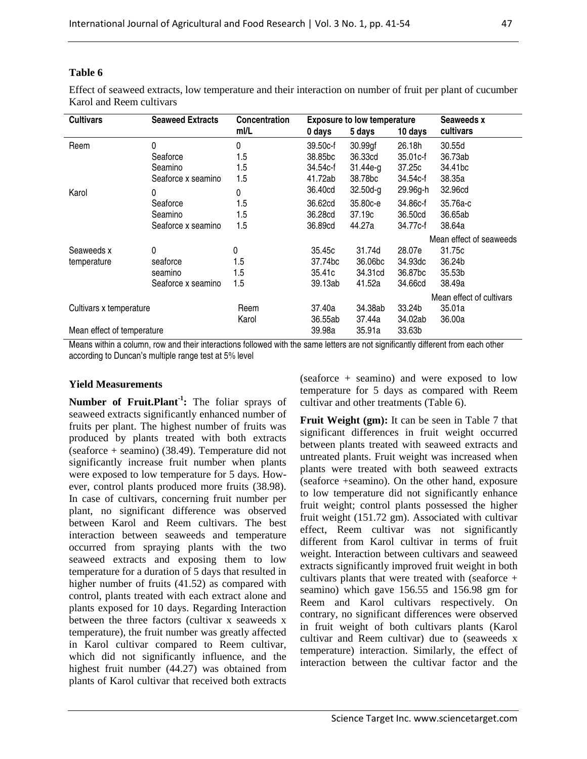Effect of seaweed extracts, low temperature and their interaction on number of fruit per plant of cucumber Karol and Reem cultivars

| <b>Cultivars</b>           | <b>Seaweed Extracts</b><br><b>Concentration</b><br><b>Exposure to low temperature</b> |       |          | Seaweeds x          |          |                          |
|----------------------------|---------------------------------------------------------------------------------------|-------|----------|---------------------|----------|--------------------------|
|                            |                                                                                       | ml/L  | 0 days   | 5 days              | 10 days  | cultivars                |
| Reem                       | 0                                                                                     | 0     | 39.50c-f | 30.99gf             | 26.18h   | 30.55d                   |
|                            | Seaforce                                                                              | 1.5   | 38,85bc  | 36.33cd             | 35.01c-f | 36.73ab                  |
|                            | Seamino                                                                               | 1.5   | 34.54c-f | $31.44e-g$          | 37.25c   | 34.41 <sub>bc</sub>      |
|                            | Seaforce x seamino                                                                    | 1.5   | 41.72ab  | 38.78 <sub>bc</sub> | 34.54c-f | 38.35a                   |
| Karol                      | 0                                                                                     | 0     | 36.40cd  | $32.50d-g$          | 29.96g-h | 32.96cd                  |
|                            | Seaforce                                                                              | 1.5   | 36.62cd  | 35.80c-e            | 34.86c-f | 35.76a-c                 |
|                            | Seamino                                                                               | 1.5   | 36.28cd  | 37.19c              | 36.50cd  | 36.65ab                  |
|                            | Seaforce x seamino                                                                    | 1.5   | 36.89cd  | 44.27a              | 34.77c-f | 38.64a                   |
|                            |                                                                                       |       |          |                     |          | Mean effect of seaweeds  |
| Seaweeds x                 | 0                                                                                     | 0     | 35.45c   | 31.74d              | 28.07e   | 31.75c                   |
| temperature                | seaforce                                                                              | 1.5   | 37.74bc  | 36.06 <sub>bc</sub> | 34.93dc  | 36.24b                   |
|                            | seamino                                                                               | 1.5   | 35.41c   | 34.31cd             | 36.87bc  | 35.53b                   |
|                            | Seaforce x seamino                                                                    | 1.5   | 39.13ab  | 41.52a              | 34.66cd  | 38.49a                   |
|                            |                                                                                       |       |          |                     |          | Mean effect of cultivars |
| Cultivars x temperature    |                                                                                       | Reem  | 37.40a   | 34.38ab             | 33.24b   | 35.01a                   |
|                            |                                                                                       | Karol | 36.55ab  | 37.44a              | 34.02ab  | 36.00a                   |
| Mean effect of temperature |                                                                                       |       | 39.98a   | 35.91a              | 33.63b   |                          |

Means within a column, row and their interactions followed with the same letters are not significantly different from each other according to Duncan's multiple range test at 5% level

## **Yield Measurements**

**Number of Fruit.Plant-1:** The foliar sprays of seaweed extracts significantly enhanced number of fruits per plant. The highest number of fruits was produced by plants treated with both extracts (seaforce + seamino) (38.49). Temperature did not significantly increase fruit number when plants were exposed to low temperature for 5 days. However, control plants produced more fruits (38.98). In case of cultivars, concerning fruit number per plant, no significant difference was observed between Karol and Reem cultivars. The best interaction between seaweeds and temperature occurred from spraying plants with the two seaweed extracts and exposing them to low temperature for a duration of 5 days that resulted in higher number of fruits (41.52) as compared with control, plants treated with each extract alone and plants exposed for 10 days. Regarding Interaction between the three factors (cultivar x seaweeds x temperature), the fruit number was greatly affected in Karol cultivar compared to Reem cultivar, which did not significantly influence, and the highest fruit number (44.27) was obtained from plants of Karol cultivar that received both extracts (seaforce + seamino) and were exposed to low temperature for 5 days as compared with Reem cultivar and other treatments (Table 6).

**Fruit Weight (gm):** It can be seen in Table 7 that significant differences in fruit weight occurred between plants treated with seaweed extracts and untreated plants. Fruit weight was increased when plants were treated with both seaweed extracts (seaforce +seamino). On the other hand, exposure to low temperature did not significantly enhance fruit weight; control plants possessed the higher fruit weight (151.72 gm). Associated with cultivar effect, Reem cultivar was not significantly different from Karol cultivar in terms of fruit weight. Interaction between cultivars and seaweed extracts significantly improved fruit weight in both cultivars plants that were treated with (seaforce + seamino) which gave 156.55 and 156.98 gm for Reem and Karol cultivars respectively. On contrary, no significant differences were observed in fruit weight of both cultivars plants (Karol cultivar and Reem cultivar) due to (seaweeds x temperature) interaction. Similarly, the effect of interaction between the cultivar factor and the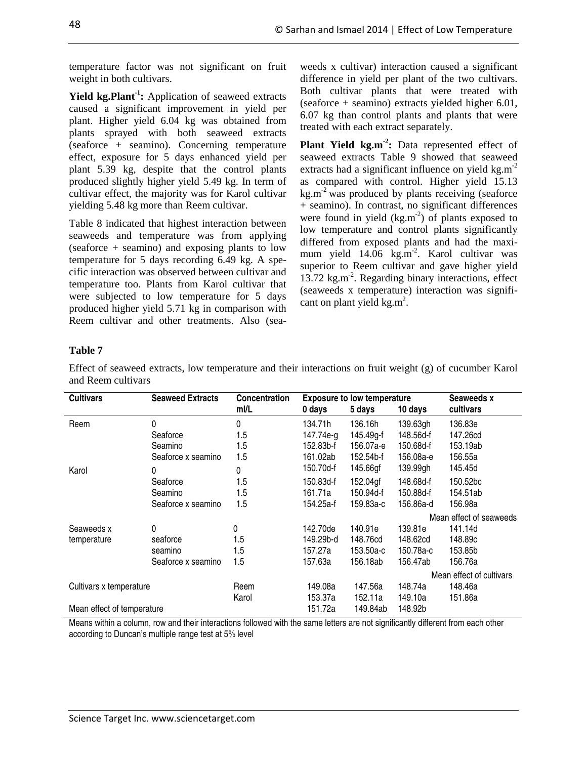temperature factor was not significant on fruit weight in both cultivars.

**Yield kg.Plant-1:** Application of seaweed extracts caused a significant improvement in yield per plant. Higher yield 6.04 kg was obtained from plants sprayed with both seaweed extracts (seaforce + seamino). Concerning temperature effect, exposure for 5 days enhanced yield per plant 5.39 kg, despite that the control plants produced slightly higher yield 5.49 kg. In term of cultivar effect, the majority was for Karol cultivar yielding 5.48 kg more than Reem cultivar.

Table 8 indicated that highest interaction between seaweeds and temperature was from applying (seaforce + seamino) and exposing plants to low temperature for 5 days recording 6.49 kg. A specific interaction was observed between cultivar and temperature too. Plants from Karol cultivar that were subjected to low temperature for 5 days produced higher yield 5.71 kg in comparison with Reem cultivar and other treatments. Also (seaweeds x cultivar) interaction caused a significant difference in yield per plant of the two cultivars. Both cultivar plants that were treated with (seaforce + seamino) extracts yielded higher 6.01, 6.07 kg than control plants and plants that were treated with each extract separately.

**Plant Yield kg.m<sup>-2</sup>**: Data represented effect of seaweed extracts Table 9 showed that seaweed extracts had a significant influence on yield  $kg.m^{-2}$ as compared with control. Higher yield 15.13  $kg.m<sup>-2</sup>$  was produced by plants receiving (seaforce + seamino). In contrast, no significant differences were found in yield  $(kg.m<sup>2</sup>)$  of plants exposed to low temperature and control plants significantly differed from exposed plants and had the maximum yield 14.06 kg.m<sup>-2</sup>. Karol cultivar was superior to Reem cultivar and gave higher yield 13.72 kg.m<sup>-2</sup>. Regarding binary interactions, effect (seaweeds x temperature) interaction was significant on plant yield kg.m<sup>2</sup>.

## **Table 7**

Effect of seaweed extracts, low temperature and their interactions on fruit weight (g) of cucumber Karol and Reem cultivars

| <b>Cultivars</b>           | <b>Seaweed Extracts</b> | <b>Concentration</b> |           | <b>Exposure to low temperature</b> |           | Seaweeds x               |
|----------------------------|-------------------------|----------------------|-----------|------------------------------------|-----------|--------------------------|
|                            |                         | ml/L                 | 0 days    | 5 days                             | 10 days   | cultivars                |
| Reem                       | 0                       | 0                    | 134.71h   | 136.16h                            | 139.63gh  | 136.83e                  |
|                            | Seaforce                | 1.5                  | 147.74e-g | 145.49g-f                          | 148.56d-f | 147.26cd                 |
|                            | Seamino                 | 1.5                  | 152.83b-f | 156.07a-e                          | 150.68d-f | 153.19ab                 |
|                            | Seaforce x seamino      | 1.5                  | 161.02ab  | 152.54b-f                          | 156.08a-e | 156.55a                  |
| Karol                      | 0                       | 0                    | 150.70d-f | 145.66gf                           | 139.99gh  | 145.45d                  |
|                            | Seaforce                | 1.5                  | 150.83d-f | 152.04gf                           | 148.68d-f | 150.52bc                 |
|                            | Seamino                 | 1.5                  | 161.71a   | 150.94d-f                          | 150.88d-f | 154.51ab                 |
|                            | Seaforce x seamino      | 1.5                  | 154.25a-f | 159.83a-c                          | 156.86a-d | 156.98a                  |
|                            |                         |                      |           |                                    |           | Mean effect of seaweeds  |
| Seaweeds x                 | 0                       | 0                    | 142.70de  | 140.91e                            | 139.81e   | 141.14d                  |
| temperature                | seaforce                | 1.5                  | 149.29b-d | 148.76cd                           | 148.62cd  | 148.89c                  |
|                            | seamino                 | 1.5                  | 157.27a   | 153.50a-c                          | 150.78a-c | 153.85b                  |
|                            | Seaforce x seamino      | 1.5                  | 157.63a   | 156.18ab                           | 156.47ab  | 156.76a                  |
|                            |                         |                      |           |                                    |           | Mean effect of cultivars |
| Cultivars x temperature    |                         | Reem                 | 149.08a   | 147.56a                            | 148.74a   | 148.46a                  |
|                            |                         | Karol                | 153.37a   | 152.11a                            | 149.10a   | 151.86a                  |
| Mean effect of temperature |                         |                      | 151.72a   | 149.84ab                           | 148.92b   |                          |

Means within a column, row and their interactions followed with the same letters are not significantly different from each other according to Duncan's multiple range test at 5% level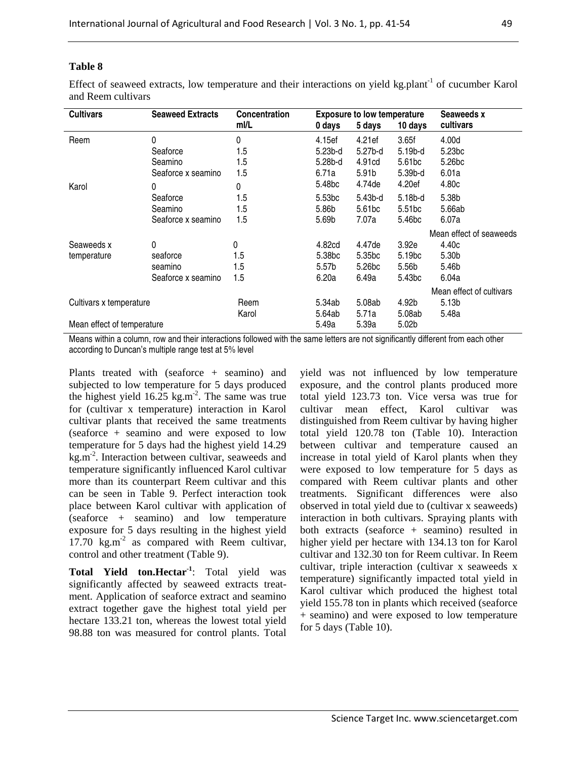Effect of seaweed extracts, low temperature and their interactions on yield kg.plant<sup>-1</sup> of cucumber Karol and Reem cultivars

| <b>Cultivars</b>           | <b>Seaweed Extracts</b> | <b>Concentration</b> | <b>Exposure to low temperature</b> |                    |                    | Seaweeds x               |  |
|----------------------------|-------------------------|----------------------|------------------------------------|--------------------|--------------------|--------------------------|--|
|                            |                         | ml/L                 | 0 days                             | 5 days             | 10 days            | cultivars                |  |
| Reem                       | 0                       | 0                    | 4.15ef                             | 4.21ef             | 3.65f              | 4.00d                    |  |
|                            | Seaforce                | 1.5                  | $5.23b-d$                          | 5.27b-d            | 5.19b-d            | 5.23 <sub>bc</sub>       |  |
|                            | Seamino                 | 1.5                  | 5.28b-d                            | 4.91cd             | 5.61 <sub>bc</sub> | 5.26 <sub>bc</sub>       |  |
|                            | Seaforce x seamino      | 1.5                  | 6.71a                              | 5.91 <sub>b</sub>  | 5.39b-d            | 6.01a                    |  |
| Karol                      | 0                       | 0                    | 5.48 <sub>bc</sub>                 | 4.74de             | 4.20ef             | 4.80c                    |  |
|                            | Seaforce                | 1.5                  | 5.53 <sub>bc</sub>                 | $5.43b-d$          | 5.18b-d            | 5.38b                    |  |
|                            | Seamino                 | 1.5                  | 5.86b                              | 5.61 <sub>bc</sub> | 5.51 <sub>bc</sub> | 5.66ab                   |  |
|                            | Seaforce x seamino      | 1.5                  | 5.69b                              | 7.07a              | 5.46 <sub>bc</sub> | 6.07a                    |  |
|                            |                         |                      |                                    |                    |                    | Mean effect of seaweeds  |  |
| Seaweeds x                 | 0                       | 0                    | 4.82cd                             | 4.47de             | 3.92e              | 4.40c                    |  |
| temperature                | seaforce                | 1.5                  | 5.38 <sub>bc</sub>                 | 5.35 <sub>bc</sub> | 5.19 <sub>bc</sub> | 5.30b                    |  |
|                            | seamino                 | 1.5                  | 5.57 <sub>b</sub>                  | 5.26bc             | 5.56b              | 5.46b                    |  |
|                            | Seaforce x seamino      | 1.5                  | 6.20a                              | 6.49a              | 5.43bc             | 6.04a                    |  |
|                            |                         |                      |                                    |                    |                    | Mean effect of cultivars |  |
| Cultivars x temperature    |                         | Reem                 | 5.34ab                             | 5.08ab             | 4.92b              | 5.13 <sub>b</sub>        |  |
|                            |                         | Karol                | 5.64ab                             | 5.71a              | 5.08ab             | 5.48a                    |  |
| Mean effect of temperature |                         |                      | 5.49a                              | 5.39a              | 5.02 <sub>b</sub>  |                          |  |

Means within a column, row and their interactions followed with the same letters are not significantly different from each other according to Duncan's multiple range test at 5% level

Plants treated with (seaforce + seamino) and subjected to low temperature for 5 days produced the highest yield  $16.25 \text{ kg.m}^2$ . The same was true for (cultivar x temperature) interaction in Karol cultivar plants that received the same treatments (seaforce + seamino and were exposed to low temperature for 5 days had the highest yield 14.29 kg.m<sup>-2</sup>. Interaction between cultivar, seaweeds and temperature significantly influenced Karol cultivar more than its counterpart Reem cultivar and this can be seen in Table 9. Perfect interaction took place between Karol cultivar with application of (seaforce + seamino) and low temperature exposure for 5 days resulting in the highest yield  $17.70 \text{ kg.m}^2$  as compared with Reem cultivar, control and other treatment (Table 9).

**Total Yield ton.Hectar-1**: Total yield was significantly affected by seaweed extracts treatment. Application of seaforce extract and seamino extract together gave the highest total yield per hectare 133.21 ton, whereas the lowest total yield 98.88 ton was measured for control plants. Total yield was not influenced by low temperature exposure, and the control plants produced more total yield 123.73 ton. Vice versa was true for cultivar mean effect, Karol cultivar was distinguished from Reem cultivar by having higher total yield 120.78 ton (Table 10). Interaction between cultivar and temperature caused an increase in total yield of Karol plants when they were exposed to low temperature for 5 days as compared with Reem cultivar plants and other treatments. Significant differences were also observed in total yield due to (cultivar x seaweeds) interaction in both cultivars. Spraying plants with both extracts (seaforce + seamino) resulted in higher yield per hectare with 134.13 ton for Karol cultivar and 132.30 ton for Reem cultivar. In Reem cultivar, triple interaction (cultivar x seaweeds x temperature) significantly impacted total yield in Karol cultivar which produced the highest total yield 155.78 ton in plants which received (seaforce + seamino) and were exposed to low temperature for 5 days (Table 10).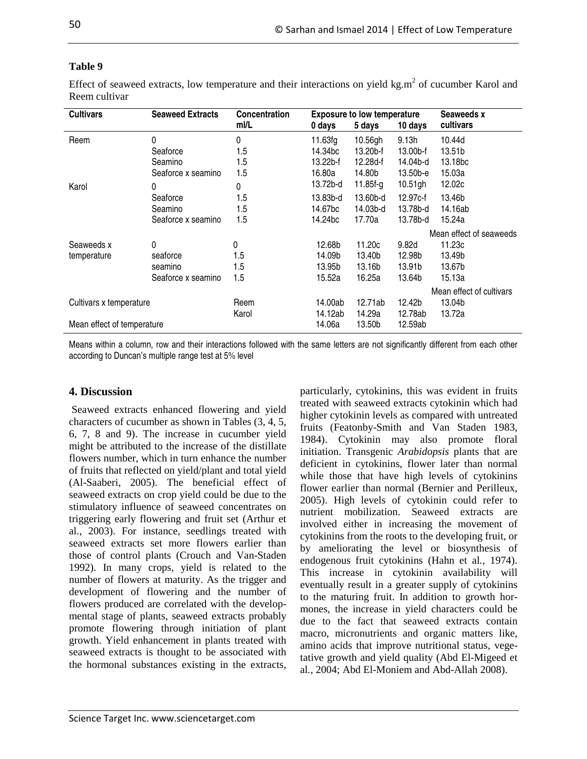**Seaweeds x 0 days 5 days 10 days cultivars** 

Mean effect of seaweeds

Mean effect of cultivars

| Effect of seaweed extracts, low temperature and their interactions on yield $kg.m2$ of cucumbe<br>Reem cultivar |                         |               |                     |                                    |            |          |  |
|-----------------------------------------------------------------------------------------------------------------|-------------------------|---------------|---------------------|------------------------------------|------------|----------|--|
| <b>Cultivars</b>                                                                                                | <b>Seaweed Extracts</b> | Concentration |                     | <b>Exposure to low temperature</b> |            |          |  |
|                                                                                                                 |                         | ml/L          | 0 days              | 5 days                             | 10 days    | cultivar |  |
| Reem                                                                                                            |                         | 0             | 11.63fg             | 10.56gh                            | 9.13h      | 10.44d   |  |
|                                                                                                                 | Seaforce                | 1.5           | 14.34 <sub>bc</sub> | $13.20b$ -f                        | 13.00b-f   | 13.51b   |  |
|                                                                                                                 | Seamino                 | 1.5           | $13.22b-f$          | 12.28d-f                           | 14.04b-d   | 13.18bc  |  |
|                                                                                                                 | Seaforce x seamino      | 1.5           | 16.80a              | 14.80b                             | 13.50b-e   | 15.03a   |  |
| Karol                                                                                                           | 0                       | 0             | 13.72b-d            | $11.85f-g$                         | $10.51$ gh | 12.02c   |  |

## **Table 9**

Seaweeds x temperature

cucumber Karol and

Seaforce 1.5 13.83b-d 13.60b-d 12.97c-f 13.46b Seamino 1.5 14.67bc 14.03b-d 13.78b-d 14.16ab Seaforce x seamino 1.5 14.24bc 17.70a 13.78b-d 15.24a

0 0 12.68b 11.20c 9.82d 11.23c seaforce 1.5 14.09b 13.40b 12.98b 13.49b seamino 1.5 13.95b 13.16b 13.91b 13.67b Seaforce x seamino 1.5 15.52a 16.25a 13.64b 15.13a

Karol 14.12ab 14.29a 12.78ab 13.72a

Means within a column, row and their interactions followed with the same letters are not significantly different from each other according to Duncan's multiple range test at 5% level

Cultivars x temperature Reem 14.00ab 12.71ab 12.42b 13.04b

Mean effect of temperature 14.06a 13.50b 12.59ab

### **4. Discussion**

 Seaweed extracts enhanced flowering and yield characters of cucumber as shown in Tables (3, 4, 5, 6, 7, 8 and 9). The increase in cucumber yield might be attributed to the increase of the distillate flowers number, which in turn enhance the number of fruits that reflected on yield/plant and total yield (Al-Saaberi, 2005). The beneficial effect of seaweed extracts on crop yield could be due to the stimulatory influence of seaweed concentrates on triggering early flowering and fruit set (Arthur et al*.*, 2003). For instance, seedlings treated with seaweed extracts set more flowers earlier than those of control plants (Crouch and Van-Staden 1992). In many crops, yield is related to the number of flowers at maturity. As the trigger and development of flowering and the number of flowers produced are correlated with the developmental stage of plants, seaweed extracts probably promote flowering through initiation of plant growth. Yield enhancement in plants treated with seaweed extracts is thought to be associated with the hormonal substances existing in the extracts, particularly, cytokinins, this was evident in fruits treated with seaweed extracts cytokinin which had higher cytokinin levels as compared with untreated fruits (Featonby-Smith and Van Staden 1983, 1984). Cytokinin may also promote floral initiation. Transgenic *Arabidopsis* plants that are deficient in cytokinins, flower later than normal while those that have high levels of cytokinins flower earlier than normal (Bernier and Perilleux, 2005). High levels of cytokinin could refer to nutrient mobilization. Seaweed extracts are involved either in increasing the movement of cytokinins from the roots to the developing fruit, or by ameliorating the level or biosynthesis of endogenous fruit cytokinins (Hahn et al*.*, 1974). This increase in cytokinin availability will eventually result in a greater supply of cytokinins to the maturing fruit. In addition to growth hormones, the increase in yield characters could be due to the fact that seaweed extracts contain macro, micronutrients and organic matters like, amino acids that improve nutritional status, vegetative growth and yield quality (Abd El-Migeed et al*.,* 2004; Abd El-Moniem and Abd-Allah 2008).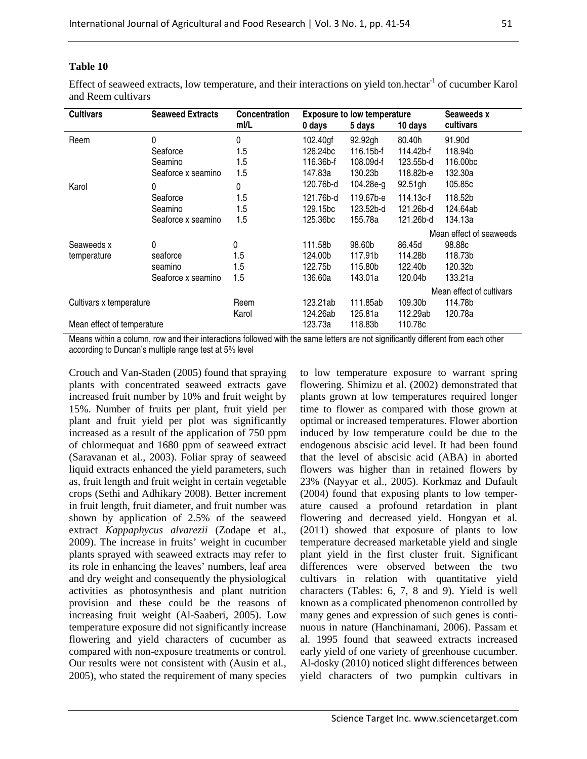Effect of seaweed extracts, low temperature, and their interactions on yield ton.hectar<sup>-1</sup> of cucumber Karol and Reem cultivars

| <b>Cultivars</b>           | <b>Seaweed Extracts</b> | <b>Concentration</b> |           | <b>Exposure to low temperature</b> |           | Seaweeds x               |
|----------------------------|-------------------------|----------------------|-----------|------------------------------------|-----------|--------------------------|
|                            |                         | ml/L                 | 0 days    | 5 days                             | 10 days   | cultivars                |
| Reem                       | 0                       | 0                    | 102.40gf  | 92.92gh                            | 80.40h    | 91.90d                   |
|                            | Seaforce                | 1.5                  | 126.24bc  | 116.15b-f                          | 114.42b-f | 118.94b                  |
|                            | Seamino                 | 1.5                  | 116.36b-f | 108.09d-f                          | 123.55b-d | 116,00bc                 |
|                            | Seaforce x seamino      | 1.5                  | 147.83a   | 130.23b                            | 118.82b-e | 132.30a                  |
| Karol                      | 0                       | 0                    | 120.76b-d | 104.28e-g                          | 92.51gh   | 105.85c                  |
|                            | Seaforce                | 1.5                  | 121.76b-d | 119.67b-e                          | 114.13c-f | 118.52b                  |
|                            | Seamino                 | 1.5                  | 129.15bc  | 123.52b-d                          | 121.26b-d | 124.64ab                 |
|                            | Seaforce x seamino      | 1.5                  | 125.36bc  | 155.78a                            | 121.26b-d | 134.13a                  |
|                            |                         |                      |           |                                    |           | Mean effect of seaweeds  |
| Seaweeds x                 | 0                       | 0                    | 111.58b   | 98.60b                             | 86.45d    | 98.88c                   |
| temperature                | seaforce                | 1.5                  | 124.00b   | 117.91b                            | 114.28b   | 118.73b                  |
|                            | seamino                 | 1.5                  | 122.75b   | 115.80b                            | 122.40b   | 120.32b                  |
|                            | Seaforce x seamino      | 1.5                  | 136.60a   | 143.01a                            | 120.04b   | 133.21a                  |
|                            |                         |                      |           |                                    |           | Mean effect of cultivars |
| Cultivars x temperature    |                         | Reem                 | 123.21ab  | 111.85ab                           | 109.30b   | 114.78b                  |
|                            |                         | Karol                | 124.26ab  | 125.81a                            | 112.29ab  | 120.78a                  |
| Mean effect of temperature |                         |                      | 123.73a   | 118.83b                            | 110.78c   |                          |

Means within a column, row and their interactions followed with the same letters are not significantly different from each other according to Duncan's multiple range test at 5% level

Crouch and Van-Staden (2005) found that spraying plants with concentrated seaweed extracts gave increased fruit number by 10% and fruit weight by 15%. Number of fruits per plant, fruit yield per plant and fruit yield per plot was significantly increased as a result of the application of 750 ppm of chlormequat and 1680 ppm of seaweed extract (Saravanan et al*.,* 2003). Foliar spray of seaweed liquid extracts enhanced the yield parameters, such as, fruit length and fruit weight in certain vegetable crops (Sethi and Adhikary 2008). Better increment in fruit length, fruit diameter, and fruit number was shown by application of 2.5% of the seaweed extract *Kappaphycus alvarezii* (Zodape et al., 2009). The increase in fruits' weight in cucumber plants sprayed with seaweed extracts may refer to its role in enhancing the leaves' numbers, leaf area and dry weight and consequently the physiological activities as photosynthesis and plant nutrition provision and these could be the reasons of increasing fruit weight (Al-Saaberi, 2005). Low temperature exposure did not significantly increase flowering and yield characters of cucumber as compared with non-exposure treatments or control. Our results were not consistent with (Ausin et al*.*, 2005), who stated the requirement of many species to low temperature exposure to warrant spring flowering. Shimizu et al. (2002) demonstrated that plants grown at low temperatures required longer time to flower as compared with those grown at optimal or increased temperatures. Flower abortion induced by low temperature could be due to the endogenous abscisic acid level. It had been found that the level of abscisic acid (ABA) in aborted flowers was higher than in retained flowers by 23% (Nayyar et al., 2005). Korkmaz and Dufault (2004) found that exposing plants to low temperature caused a profound retardation in plant flowering and decreased yield. Hongyan et al*.* (2011) showed that exposure of plants to low temperature decreased marketable yield and single plant yield in the first cluster fruit. Significant differences were observed between the two cultivars in relation with quantitative yield characters (Tables: 6, 7, 8 and 9). Yield is well known as a complicated phenomenon controlled by many genes and expression of such genes is continuous in nature (Hanchinamani, 2006). Passam et al*.* 1995 found that seaweed extracts increased early yield of one variety of greenhouse cucumber. Al-dosky (2010) noticed slight differences between yield characters of two pumpkin cultivars in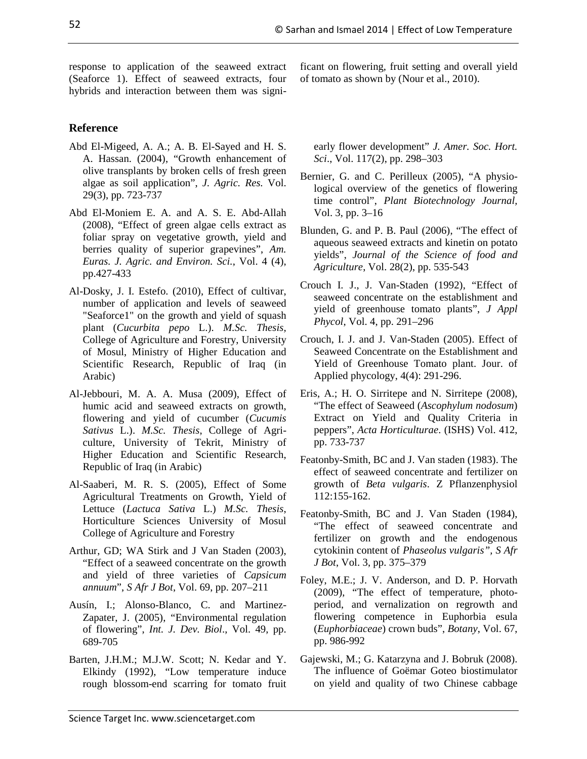response to application of the seaweed extract (Seaforce 1). Effect of seaweed extracts, four

hybrids and interaction between them was signi-

ficant on flowering, fruit setting and overall yield of tomato as shown by (Nour et al., 2010).

# **Reference**

- Abd El-Migeed, A. A.; A. B. El-Sayed and H. S. A. Hassan. (2004), "Growth enhancement of olive transplants by broken cells of fresh green algae as soil application", *J. Agric. Res.* Vol. 29(3), pp. 723-737
- Abd El-Moniem E. A. and A. S. E. Abd-Allah (2008), "Effect of green algae cells extract as foliar spray on vegetative growth, yield and berries quality of superior grapevines", *Am. Euras. J. Agric. and Environ. Sci.*, Vol. 4 (4), pp.427-433
- Al-Dosky, J. I. Estefo. (2010), Effect of cultivar, number of application and levels of seaweed "Seaforce1" on the growth and yield of squash plant (*Cucurbita pepo* L.). *M.Sc. Thesis,*  College of Agriculture and Forestry, University of Mosul, Ministry of Higher Education and Scientific Research, Republic of Iraq (in Arabic)
- Al-Jebbouri, M. A. A. Musa (2009), Effect of humic acid and seaweed extracts on growth, flowering and yield of cucumber (*Cucumis Sativus* L.). *M.Sc. Thesis*, College of Agriculture, University of Tekrit, Ministry of Higher Education and Scientific Research, Republic of Iraq (in Arabic)
- Al-Saaberi, M. R. S. (2005), Effect of Some Agricultural Treatments on Growth, Yield of Lettuce (*Lactuca Sativa* L.) *M.Sc. Thesis*, Horticulture Sciences University of Mosul College of Agriculture and Forestry
- Arthur, GD; WA Stirk and J Van Staden (2003), "Effect of a seaweed concentrate on the growth and yield of three varieties of *Capsicum annuum*", *S Afr J Bot*, Vol. 69, pp. 207–211
- Ausín, I.; Alonso-Blanco, C. and Martinez-Zapater, J. (2005), "Environmental regulation of flowering", *Int. J. Dev. Biol*., Vol. 49, pp. 689-705
- Elkindy (1992), "Low temperature induce rough blossom-end scarring for tomato fruit

early flower development" *J. Amer. Soc. Hort. Sci*., Vol. 117(2), pp. 298–303

- Bernier, G. and C. Perilleux (2005), "A physiological overview of the genetics of flowering time control", *Plant Biotechnology Journal,* Vol. 3, pp. 3–16
- Blunden, G. and P. B. Paul (2006), "The effect of aqueous seaweed extracts and kinetin on potato yields", *Journal of the Science of food and Agriculture*, Vol. 28(2), pp. 535-543
- Crouch I. J., J. Van-Staden (1992), "Effect of seaweed concentrate on the establishment and yield of greenhouse tomato plants", *J Appl Phycol*, Vol. 4, pp. 291–296
- Crouch, I. J. and J. Van-Staden (2005). Effect of Seaweed Concentrate on the Establishment and Yield of Greenhouse Tomato plant. Jour. of Applied phycology, 4(4): 291-296.
- Eris, A.; H. O. Sirritepe and N. Sirritepe (2008), "The effect of Seaweed (*Ascophylum nodosum*) Extract on Yield and Quality Criteria in peppers", *Acta Horticulturae*. (ISHS) Vol. 412, pp. 733-737
- Featonby-Smith, BC and J. Van staden (1983). The effect of seaweed concentrate and fertilizer on growth of *Beta vulgaris*. Z Pflanzenphysiol 112:155-162.
- Featonby-Smith, BC and J. Van Staden (1984), "The effect of seaweed concentrate and fertilizer on growth and the endogenous cytokinin content of *Phaseolus vulgaris", S Afr J Bot*, Vol. 3, pp. 375–379
- Foley, M.E.; J. V. Anderson, and D. P. Horvath (2009), "The effect of temperature, photoperiod, and vernalization on regrowth and flowering competence in Euphorbia esula (*Euphorbiaceae*) crown buds", *Botany*, Vol. 67, pp. 986-992
- Gajewski, M.; G. Katarzyna and J. Bobruk (2008). The influence of Goëmar Goteo biostimulator on yield and quality of two Chinese cabbage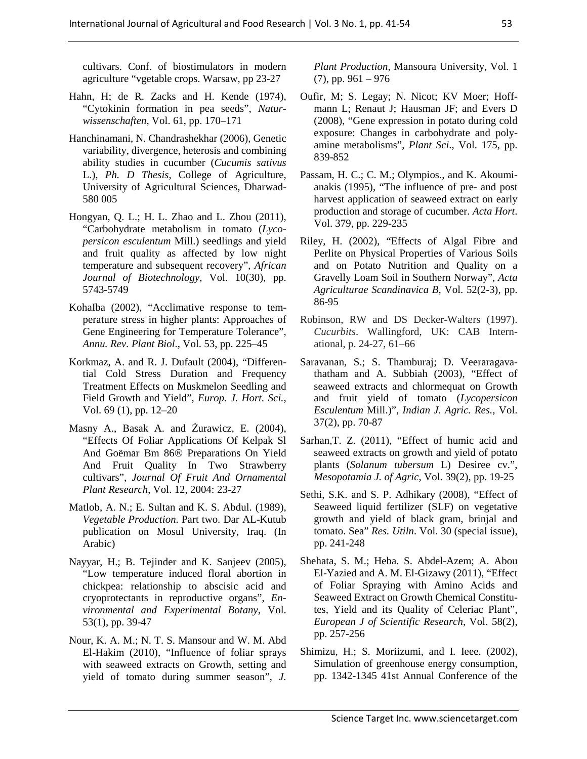cultivars. Conf. of biostimulators in modern agriculture "vgetable crops. Warsaw, pp 23-27

- Hahn, H; de R. Zacks and H. Kende (1974), "Cytokinin formation in pea seeds", *Naturwissenschaften*, Vol. 61, pp. 170–171
- Hanchinamani, N. Chandrashekhar (2006), Genetic variability, divergence, heterosis and combining ability studies in cucumber (*Cucumis sativus*  L.), *Ph. D Thesis*, College of Agriculture, University of Agricultural Sciences, Dharwad-580 005
- Hongyan, Q. L.; H. L. Zhao and L. Zhou (2011), "Carbohydrate metabolism in tomato (*Lycopersicon esculentum* Mill.) seedlings and yield and fruit quality as affected by low night temperature and subsequent recovery", *African Journal of Biotechnology*, Vol. 10(30), pp. 5743-5749
- KohaIba (2002), "Acclimative response to temperature stress in higher plants: Approaches of Gene Engineering for Temperature Tolerance", *Annu. Rev. Plant Biol*., Vol. 53, pp. 225–45
- Korkmaz, A. and R. J. Dufault (2004), "Differential Cold Stress Duration and Frequency Treatment Effects on Muskmelon Seedling and Field Growth and Yield", *Europ. J. Hort. Sci.*, Vol. 69 (1), pp. 12–20
- Masny A., Basak A. and Żurawicz, E. (2004), "Effects Of Foliar Applications Of Kelpak Sl And Goëmar Bm 86® Preparations On Yield And Fruit Quality In Two Strawberry cultivars", *Journal Of Fruit And Ornamental Plant Research*, Vol. 12, 2004: 23-27
- Matlob, A. N.; E. Sultan and K. S. Abdul. (1989), *Vegetable Production*. Part two. Dar AL-Kutub publication on Mosul University, Iraq. (In Arabic)
- Nayyar, H.; B. Tejinder and K. Sanjeev (2005), "Low temperature induced floral abortion in chickpea: relationship to abscisic acid and cryoprotectants in reproductive organs", *Environmental and Experimental Botany*, Vol. 53(1), pp. 39-47
- Nour, K. A. M.; N. T. S. Mansour and W. M. Abd El-Hakim (2010), "Influence of foliar sprays with seaweed extracts on Growth, setting and yield of tomato during summer season", *J.*

*Plant Production*, Mansoura University, Vol. 1  $(7)$ , pp. 961 – 976

- Oufir, M; S. Legay; N. Nicot; KV Moer; Hoffmann L; Renaut J; Hausman JF; and Evers D (2008), "Gene expression in potato during cold exposure: Changes in carbohydrate and polyamine metabolisms", *Plant Sci*., Vol. 175, pp. 839-852
- Passam, H. C.; C. M.; Olympios., and K. Akoumianakis (1995), "The influence of pre- and post harvest application of seaweed extract on early production and storage of cucumber. *Acta Hort*. Vol. 379, pp. 229-235
- Riley, H. (2002), "Effects of Algal Fibre and Perlite on Physical Properties of Various Soils and on Potato Nutrition and Quality on a Gravelly Loam Soil in Southern Norway", *Acta Agriculturae Scandinavica B*, Vol. 52(2-3), pp. 86-95
- Robinson, RW and DS Decker-Walters (1997). *Cucurbits*. Wallingford, UK: CAB International, p. 24-27, 61–66
- Saravanan, S.; S. Thamburaj; D. Veeraragavathatham and A. Subbiah (2003), "Effect of seaweed extracts and chlormequat on Growth and fruit yield of tomato (*Lycopersicon Esculentum* Mill.)", *Indian J. Agric. Res.*, Vol. 37(2), pp. 70-87
- Sarhan,T. Z. (2011), "Effect of humic acid and seaweed extracts on growth and yield of potato plants (*Solanum tubersum* L) Desiree cv.", *Mesopotamia J. of Agric*, Vol. 39(2), pp. 19-25
- Sethi, S.K. and S. P. Adhikary (2008), "Effect of Seaweed liquid fertilizer (SLF) on vegetative growth and yield of black gram, brinjal and tomato. Sea" *Res. Utiln*. Vol. 30 (special issue), pp. 241-248
- Shehata, S. M.; Heba. S. Abdel-Azem; A. Abou El-Yazied and A. M. El-Gizawy (2011), "Effect of Foliar Spraying with Amino Acids and Seaweed Extract on Growth Chemical Constitutes, Yield and its Quality of Celeriac Plant", *European J of Scientific Research*, Vol. 58(2), pp. 257-256
- Shimizu, H.; S. Moriizumi, and I. Ieee. (2002), Simulation of greenhouse energy consumption, pp. 1342-1345 41st Annual Conference of the